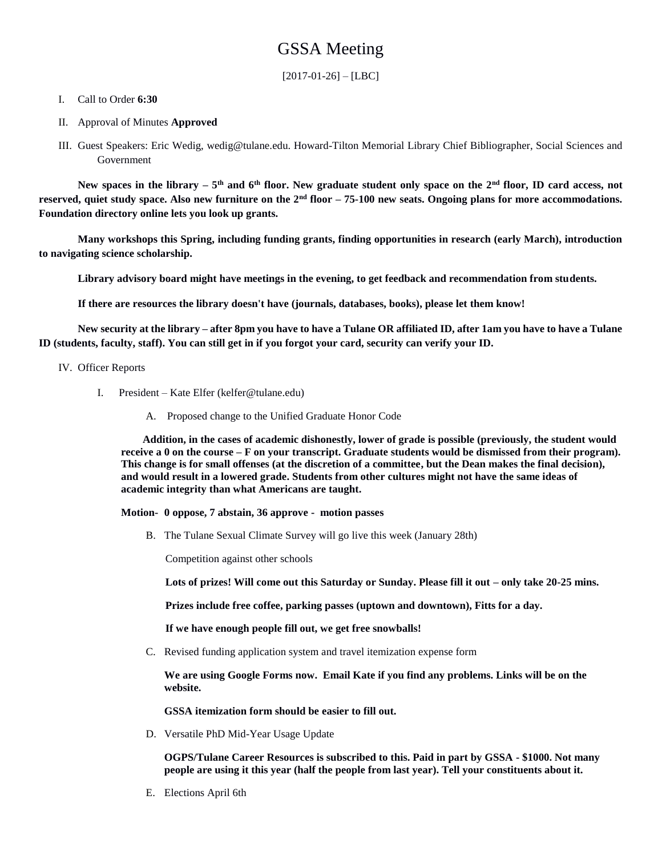# GSSA Meeting

 $[2017-01-26] - [LBC]$ 

#### I. Call to Order **6:30**

- II. Approval of Minutes **Approved**
- III. Guest Speakers: Eric Wedig, wedig@tulane.edu. Howard-Tilton Memorial Library Chief Bibliographer, Social Sciences and Government

**New spaces in the library – 5 th and 6th floor. New graduate student only space on the 2nd floor, ID card access, not reserved, quiet study space. Also new furniture on the 2nd floor – 75-100 new seats. Ongoing plans for more accommodations. Foundation directory online lets you look up grants.** 

**Many workshops this Spring, including funding grants, finding opportunities in research (early March), introduction to navigating science scholarship.** 

**Library advisory board might have meetings in the evening, to get feedback and recommendation from students.**

**If there are resources the library doesn't have (journals, databases, books), please let them know!**

**New security at the library – after 8pm you have to have a Tulane OR affiliated ID, after 1am you have to have a Tulane ID (students, faculty, staff). You can still get in if you forgot your card, security can verify your ID.** 

#### IV. Officer Reports

- I. President Kate Elfer (kelfer@tulane.edu)
	- A. Proposed change to the Unified Graduate Honor Code

**Addition, in the cases of academic dishonestly, lower of grade is possible (previously, the student would receive a 0 on the course – F on your transcript. Graduate students would be dismissed from their program). This change is for small offenses (at the discretion of a committee, but the Dean makes the final decision), and would result in a lowered grade. Students from other cultures might not have the same ideas of academic integrity than what Americans are taught.** 

**Motion- 0 oppose, 7 abstain, 36 approve - motion passes**

B. The Tulane Sexual Climate Survey will go live this week (January 28th)

Competition against other schools

**Lots of prizes! Will come out this Saturday or Sunday. Please fill it out – only take 20-25 mins.** 

**Prizes include free coffee, parking passes (uptown and downtown), Fitts for a day.** 

**If we have enough people fill out, we get free snowballs!**

C. Revised funding application system and travel itemization expense form

**We are using Google Forms now. Email Kate if you find any problems. Links will be on the website.** 

**GSSA itemization form should be easier to fill out.** 

D. Versatile PhD Mid-Year Usage Update

**OGPS/Tulane Career Resources is subscribed to this. Paid in part by GSSA - \$1000. Not many people are using it this year (half the people from last year). Tell your constituents about it.** 

E. Elections April 6th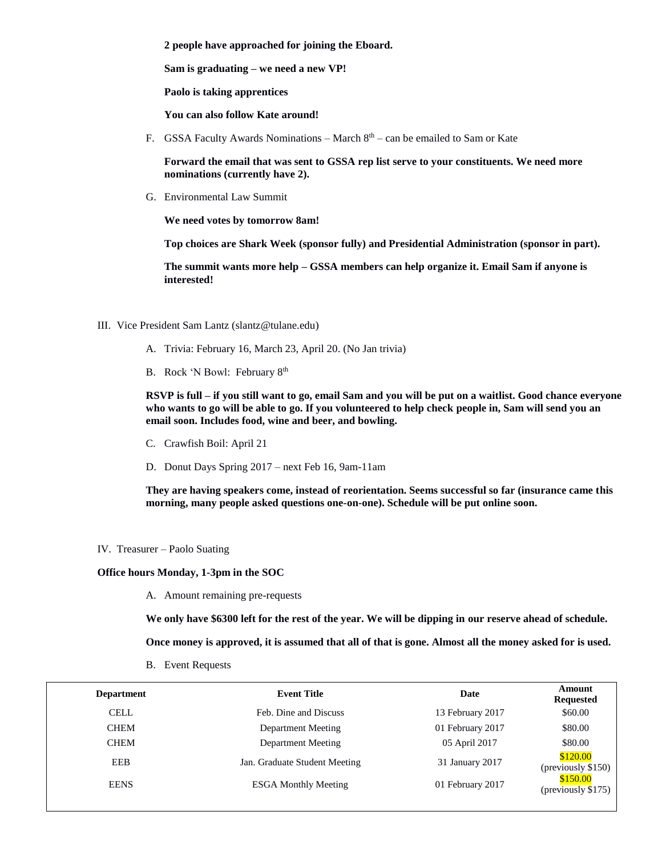**2 people have approached for joining the Eboard.**

**Sam is graduating – we need a new VP!**

**Paolo is taking apprentices**

**You can also follow Kate around!**

F. GSSA Faculty Awards Nominations – March  $8<sup>th</sup>$  – can be emailed to Sam or Kate

**Forward the email that was sent to GSSA rep list serve to your constituents. We need more nominations (currently have 2).**

G. Environmental Law Summit

**We need votes by tomorrow 8am!**

**Top choices are Shark Week (sponsor fully) and Presidential Administration (sponsor in part).** 

**The summit wants more help – GSSA members can help organize it. Email Sam if anyone is interested!**

- III. Vice President Sam Lantz (slantz@tulane.edu)
	- A. Trivia: February 16, March 23, April 20. (No Jan trivia)
	- B. Rock 'N Bowl: February 8th

**RSVP is full – if you still want to go, email Sam and you will be put on a waitlist. Good chance everyone who wants to go will be able to go. If you volunteered to help check people in, Sam will send you an email soon. Includes food, wine and beer, and bowling.**

- C. Crawfish Boil: April 21
- D. Donut Days Spring 2017 next Feb 16, 9am-11am

**They are having speakers come, instead of reorientation. Seems successful so far (insurance came this morning, many people asked questions one-on-one). Schedule will be put online soon.** 

IV. Treasurer – Paolo Suating

#### **Office hours Monday, 1-3pm in the SOC**

A. Amount remaining pre-requests

**We only have \$6300 left for the rest of the year. We will be dipping in our reserve ahead of schedule.**

**Once money is approved, it is assumed that all of that is gone. Almost all the money asked for is used.**

B. Event Requests

| <b>Department</b> | <b>Event Title</b>            | Date             | Amount<br><b>Requested</b>              |
|-------------------|-------------------------------|------------------|-----------------------------------------|
| <b>CELL</b>       | Feb. Dine and Discuss         | 13 February 2017 | \$60.00                                 |
| <b>CHEM</b>       | Department Meeting            | 01 February 2017 | \$80.00                                 |
| <b>CHEM</b>       | Department Meeting            | 05 April 2017    | \$80.00                                 |
| <b>EEB</b>        | Jan. Graduate Student Meeting | 31 January 2017  | \$120.00<br>$(\text{previously } $150)$ |
| <b>EENS</b>       | <b>ESGA Monthly Meeting</b>   | 01 February 2017 | \$150.00<br>$(\text{previously } $175)$ |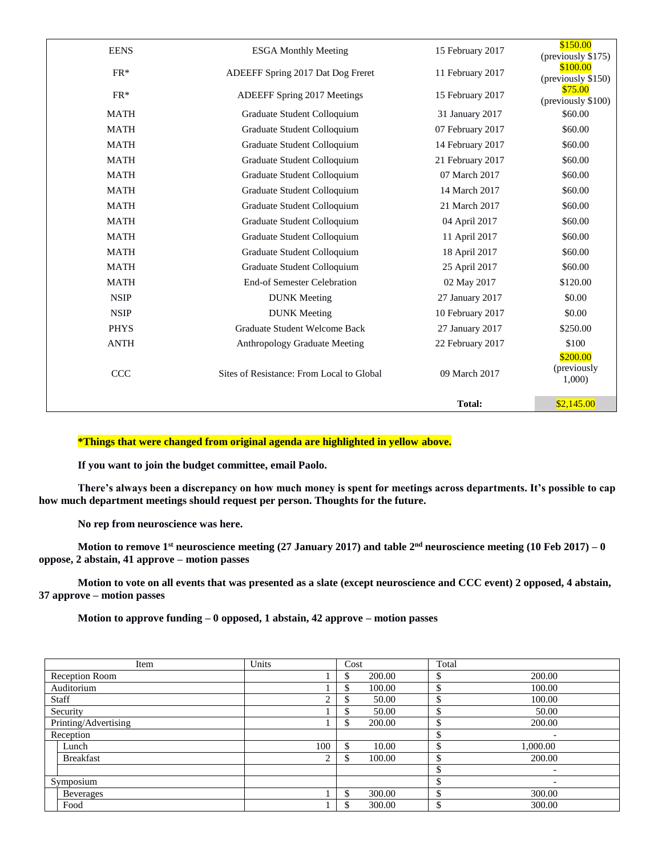| <b>EENS</b> | <b>ESGA Monthly Meeting</b>               | 15 February 2017 | \$150.00<br>(previously \$175)   |
|-------------|-------------------------------------------|------------------|----------------------------------|
| $FR*$       | ADEEFF Spring 2017 Dat Dog Freret         | 11 February 2017 | \$100.00<br>(previously \$150)   |
| $FR*$       | <b>ADEEFF Spring 2017 Meetings</b>        | 15 February 2017 | \$75.00<br>(previously \$100)    |
| <b>MATH</b> | Graduate Student Colloquium               | 31 January 2017  | \$60.00                          |
| <b>MATH</b> | Graduate Student Colloquium               | 07 February 2017 | \$60.00                          |
| <b>MATH</b> | Graduate Student Colloquium               | 14 February 2017 | \$60.00                          |
| <b>MATH</b> | Graduate Student Colloquium               | 21 February 2017 | \$60.00                          |
| <b>MATH</b> | Graduate Student Colloquium               | 07 March 2017    | \$60.00                          |
| <b>MATH</b> | Graduate Student Colloquium               | 14 March 2017    | \$60.00                          |
| <b>MATH</b> | Graduate Student Colloquium               | 21 March 2017    | \$60.00                          |
| <b>MATH</b> | Graduate Student Colloquium               | 04 April 2017    | \$60.00                          |
| <b>MATH</b> | Graduate Student Colloquium               | 11 April 2017    | \$60.00                          |
| <b>MATH</b> | Graduate Student Colloquium               | 18 April 2017    | \$60.00                          |
| <b>MATH</b> | Graduate Student Colloquium               | 25 April 2017    | \$60.00                          |
| <b>MATH</b> | End-of Semester Celebration               | 02 May 2017      | \$120.00                         |
| <b>NSIP</b> | <b>DUNK</b> Meeting                       | 27 January 2017  | \$0.00                           |
| <b>NSIP</b> | <b>DUNK</b> Meeting                       | 10 February 2017 | \$0.00                           |
| <b>PHYS</b> | Graduate Student Welcome Back             | 27 January 2017  | \$250.00                         |
| <b>ANTH</b> | <b>Anthropology Graduate Meeting</b>      | 22 February 2017 | \$100                            |
| <b>CCC</b>  | Sites of Resistance: From Local to Global | 09 March 2017    | \$200.00<br>(previously<br>1,000 |
|             |                                           | <b>Total:</b>    | \$2,145.00                       |

### **\*Things that were changed from original agenda are highlighted in yellow above.**

**If you want to join the budget committee, email Paolo.**

**There's always been a discrepancy on how much money is spent for meetings across departments. It's possible to cap how much department meetings should request per person. Thoughts for the future.** 

**No rep from neuroscience was here.** 

**Motion to remove 1st neuroscience meeting (27 January 2017) and table 2nd neuroscience meeting (10 Feb 2017) – 0 oppose, 2 abstain, 41 approve – motion passes**

**Motion to vote on all events that was presented as a slate (except neuroscience and CCC event) 2 opposed, 4 abstain, 37 approve – motion passes**

**Motion to approve funding – 0 opposed, 1 abstain, 42 approve – motion passes**

| Item                 | Units  | Cost         | Total                    |
|----------------------|--------|--------------|--------------------------|
| Reception Room       |        | 200.00<br>\$ | 200.00                   |
| Auditorium           |        | 100.00<br>S  | 100.00<br>\$             |
| Staff                |        | 50.00        | 100.00                   |
| Security             |        | 50.00<br>ъ   | 50.00<br>\$              |
| Printing/Advertising |        | 200.00       | 200.00<br>S              |
| Reception            |        |              | $\overline{\phantom{0}}$ |
| Lunch                | 100    | 10.00        | 1,000.00                 |
| <b>Breakfast</b>     | ↑<br>∠ | 100.00       | 200.00                   |
|                      |        |              | $\overline{\phantom{0}}$ |
| Symposium            |        |              | $\overline{\phantom{0}}$ |
| Beverages            |        | 300.00<br>\$ | 300.00                   |
| Food                 |        | 300.00       | 300.00<br>\$             |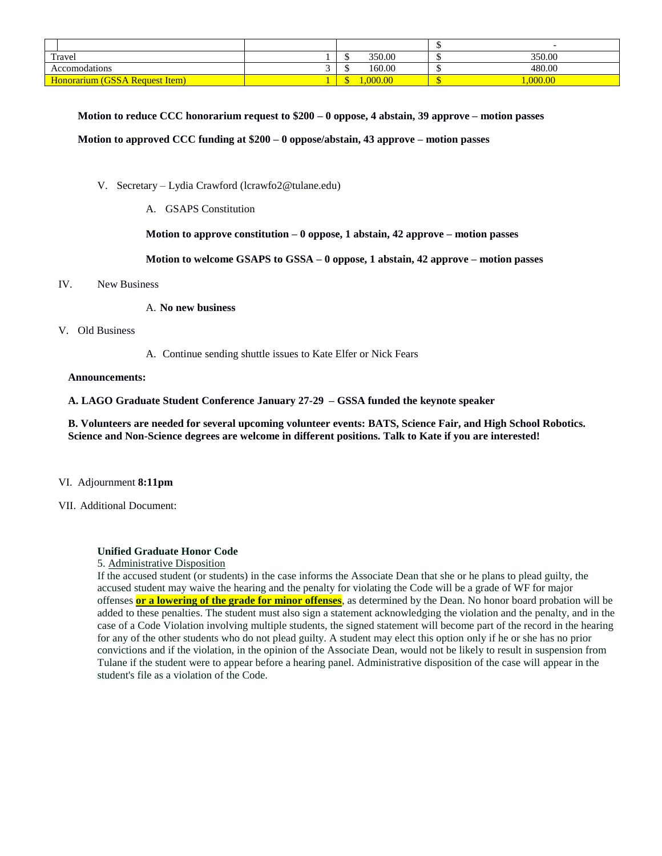| Travel                                | 350.00 | 350.00 |
|---------------------------------------|--------|--------|
| Accomodations                         | 160.00 | 480.00 |
| <b>Honorarium (GSSA Request Item)</b> | 000.00 |        |

**Motion to reduce CCC honorarium request to \$200 – 0 oppose, 4 abstain, 39 approve – motion passes Motion to approved CCC funding at \$200 – 0 oppose/abstain, 43 approve – motion passes**

- V. Secretary Lydia Crawford (lcrawfo2@tulane.edu)
	- A. GSAPS Constitution

**Motion to approve constitution – 0 oppose, 1 abstain, 42 approve – motion passes**

**Motion to welcome GSAPS to GSSA – 0 oppose, 1 abstain, 42 approve – motion passes**

#### IV. New Business

#### A. **No new business**

#### V. Old Business

A. Continue sending shuttle issues to Kate Elfer or Nick Fears

#### **Announcements:**

**A. LAGO Graduate Student Conference January 27-29 – GSSA funded the keynote speaker**

**B. Volunteers are needed for several upcoming volunteer events: BATS, Science Fair, and High School Robotics. Science and Non-Science degrees are welcome in different positions. Talk to Kate if you are interested!**

#### VI. Adjournment **8:11pm**

VII. Additional Document:

#### **Unified Graduate Honor Code**

#### 5. Administrative Disposition

If the accused student (or students) in the case informs the Associate Dean that she or he plans to plead guilty, the accused student may waive the hearing and the penalty for violating the Code will be a grade of WF for major offenses **or a lowering of the grade for minor offenses**, as determined by the Dean. No honor board probation will be added to these penalties. The student must also sign a statement acknowledging the violation and the penalty, and in the case of a Code Violation involving multiple students, the signed statement will become part of the record in the hearing for any of the other students who do not plead guilty. A student may elect this option only if he or she has no prior convictions and if the violation, in the opinion of the Associate Dean, would not be likely to result in suspension from Tulane if the student were to appear before a hearing panel. Administrative disposition of the case will appear in the student's file as a violation of the Code.